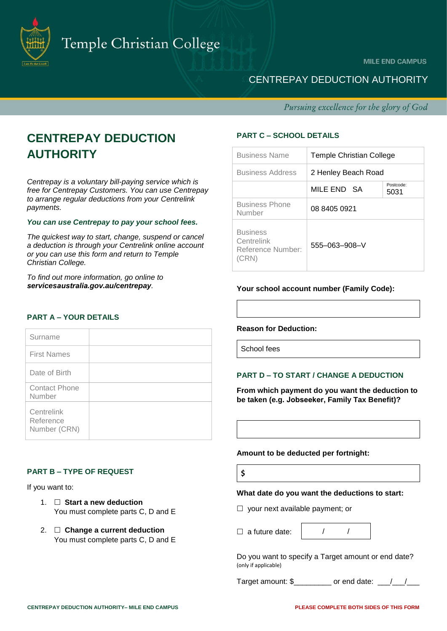

**MILE END CAMPUS** 

# CENTREPAY DEDUCTION AUTHORITY

Pursuing excellence for the glory of God

# **CENTREPAY DEDUCTION AUTHORITY**

*Centrepay is a voluntary bill-paying service which is free for Centrepay Customers. You can use Centrepay to arrange regular deductions from your Centrelink payments.* 

## *You can use Centrepay to pay your school fees.*

*The quickest way to start, change, suspend or cancel a deduction is through your Centrelink online account or you can use this form and return to Temple Christian College.* 

*To find out more information, go online to servicesaustralia.gov.au/centrepay.*

# **PART A – YOUR DETAILS**

| Surname                                 |  |
|-----------------------------------------|--|
| <b>First Names</b>                      |  |
| Date of Birth                           |  |
| <b>Contact Phone</b><br>Number          |  |
| Centrelink<br>Reference<br>Number (CRN) |  |

# **PART B – TYPE OF REQUEST**

If you want to:

- 1. **Start a new deduction** You must complete parts C, D and E
- 2. **Change a current deduction** You must complete parts C, D and E

# **PART C – SCHOOL DETAILS**

| <b>Business Name</b>                                        | Temple Christian College |                   |
|-------------------------------------------------------------|--------------------------|-------------------|
| <b>Business Address</b>                                     | 2 Henley Beach Road      |                   |
|                                                             | MILE END SA              | Postcode:<br>5031 |
| <b>Business Phone</b><br>Number                             | 08 8405 0921             |                   |
| <b>Business</b><br>Centrelink<br>Reference Number:<br>(CRN) | $555 - 063 - 908 - V$    |                   |

# **Your school account number (Family Code):**

#### **Reason for Deduction:**

School fees

# **PART D – TO START / CHANGE A DEDUCTION**

**From which payment do you want the deduction to be taken (e.g. Jobseeker, Family Tax Benefit)?** 

#### **Amount to be deducted per fortnight:**

**\$**

#### **What date do you want the deductions to start:**

- $\Box$  your next available payment; or
- $\Box$  a future date:

|--|--|

Do you want to specify a Target amount or end date? (only if applicable)

Target amount:  $\frac{1}{2}$  or end date: \_